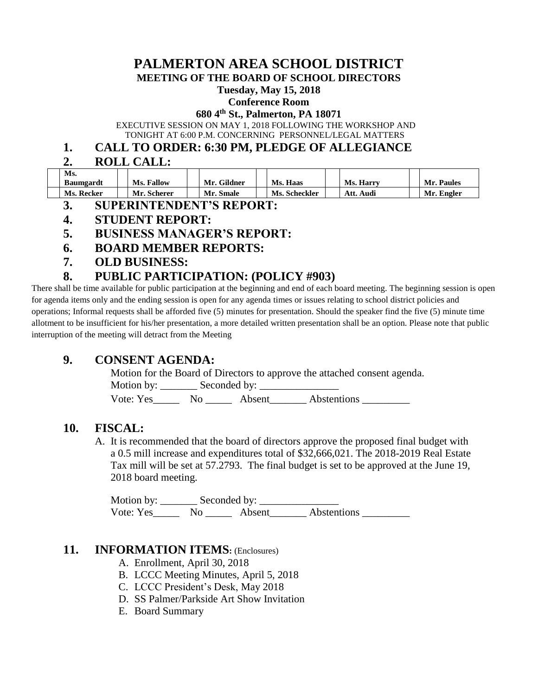# **PALMERTON AREA SCHOOL DISTRICT**

**MEETING OF THE BOARD OF SCHOOL DIRECTORS**

#### **Tuesday, May 15, 2018**

#### **Conference Room**

#### **680 4th St., Palmerton, PA 18071**

EXECUTIVE SESSION ON MAY 1, 2018 FOLLOWING THE WORKSHOP AND

TONIGHT AT 6:00 P.M. CONCERNING PERSONNEL/LEGAL MATTERS

### **1. CALL TO ORDER: 6:30 PM, PLEDGE OF ALLEGIANCE**

**2. ROLL CALL:**

| Ms.<br>Baumgardt | Ms. Fallow  | Mr. Gildner | Ms. Haas             | <b>Ms. Harry</b> | Mr. Paules |
|------------------|-------------|-------------|----------------------|------------------|------------|
| Ms. Recker       | Mr. Scherer | Mr. Smale   | <b>Ms. Scheckler</b> | Att. Audi        | Mr. Engler |

- **3. SUPERINTENDENT'S REPORT:**
- **4. STUDENT REPORT:**
- **5. BUSINESS MANAGER'S REPORT:**
- **6. BOARD MEMBER REPORTS:**
- **7. OLD BUSINESS:**

## **8. PUBLIC PARTICIPATION: (POLICY #903)**

There shall be time available for public participation at the beginning and end of each board meeting. The beginning session is open for agenda items only and the ending session is open for any agenda times or issues relating to school district policies and operations; Informal requests shall be afforded five (5) minutes for presentation. Should the speaker find the five (5) minute time allotment to be insufficient for his/her presentation, a more detailed written presentation shall be an option. Please note that public interruption of the meeting will detract from the Meeting

# **9. CONSENT AGENDA:**

Motion for the Board of Directors to approve the attached consent agenda.

Motion by: \_\_\_\_\_\_\_ Seconded by: \_\_\_\_\_\_\_\_\_\_\_\_\_\_\_

Vote: Yes\_\_\_\_\_\_\_ No \_\_\_\_\_\_\_ Absent\_\_\_\_\_\_\_\_ Abstentions \_\_\_\_\_\_\_\_\_\_

#### **10. FISCAL:**

A. It is recommended that the board of directors approve the proposed final budget with a 0.5 mill increase and expenditures total of \$32,666,021. The 2018-2019 Real Estate Tax mill will be set at 57.2793. The final budget is set to be approved at the June 19, 2018 board meeting.

Motion by: \_\_\_\_\_\_\_ Seconded by: \_\_\_\_\_\_\_\_\_\_\_\_\_\_\_ Vote: Yes\_\_\_\_\_\_\_ No \_\_\_\_\_\_\_ Absent\_\_\_\_\_\_\_\_ Abstentions \_\_\_\_\_\_\_\_\_\_\_

### **11. INFORMATION ITEMS:** (Enclosures)

- A. Enrollment, April 30, 2018
- B. LCCC Meeting Minutes, April 5, 2018
- C. LCCC President's Desk, May 2018
- D. SS Palmer/Parkside Art Show Invitation
- E. Board Summary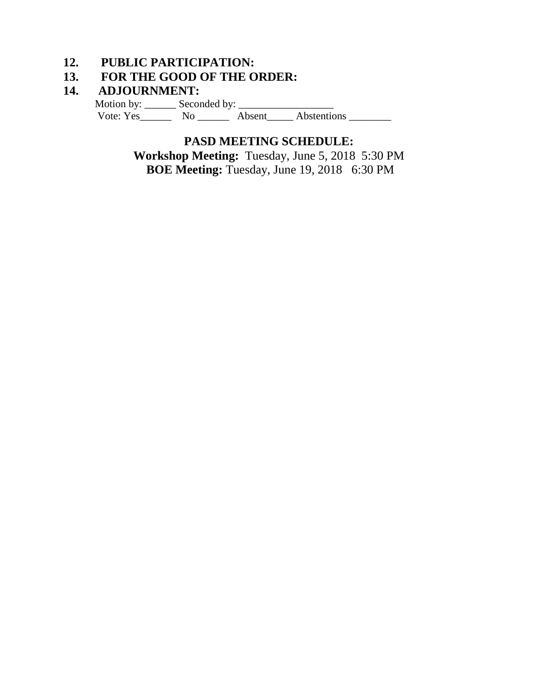# **12. PUBLIC PARTICIPATION:**

# **13. FOR THE GOOD OF THE ORDER:**

### **14. ADJOURNMENT:**

Motion by: \_\_\_\_\_\_ Seconded by: \_\_\_\_\_\_\_\_\_\_\_\_\_\_\_\_\_\_ Vote: Yes\_\_\_\_\_\_\_\_ No \_\_\_\_\_\_\_ Absent\_\_\_\_\_ Abstentions \_\_\_\_\_\_\_\_\_

### **PASD MEETING SCHEDULE:**

**Workshop Meeting:** Tuesday, June 5, 2018 5:30 PM **BOE Meeting:** Tuesday, June 19, 20186:30 PM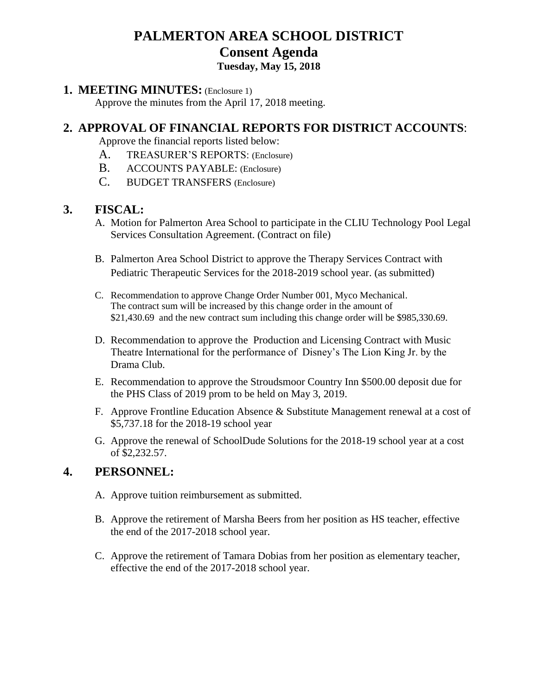# **PALMERTON AREA SCHOOL DISTRICT Consent Agenda Tuesday, May 15, 2018**

#### **1. MEETING MINUTES:** (Enclosure 1)

Approve the minutes from the April 17, 2018 meeting.

# **2. APPROVAL OF FINANCIAL REPORTS FOR DISTRICT ACCOUNTS**:

Approve the financial reports listed below:

- A. TREASURER'S REPORTS: (Enclosure)
- B. ACCOUNTS PAYABLE: (Enclosure)
- C. BUDGET TRANSFERS (Enclosure)

#### **3. FISCAL:**

- A. Motion for Palmerton Area School to participate in the CLIU Technology Pool Legal Services Consultation Agreement. (Contract on file)
- B. Palmerton Area School District to approve the Therapy Services Contract with Pediatric Therapeutic Services for the 2018-2019 school year. (as submitted)
- C. Recommendation to approve Change Order Number 001, Myco Mechanical. The contract sum will be increased by this change order in the amount of \$21,430.69 and the new contract sum including this change order will be \$985,330.69.
- D. Recommendation to approve the Production and Licensing Contract with Music Theatre International for the performance of Disney's The Lion King Jr. by the Drama Club.
- E. Recommendation to approve the Stroudsmoor Country Inn \$500.00 deposit due for the PHS Class of 2019 prom to be held on May 3, 2019.
- F. Approve Frontline Education Absence & Substitute Management renewal at a cost of \$5,737.18 for the 2018-19 school year
- G. Approve the renewal of SchoolDude Solutions for the 2018-19 school year at a cost of \$2,232.57.

### **4. PERSONNEL:**

- A. Approve tuition reimbursement as submitted.
- B. Approve the retirement of Marsha Beers from her position as HS teacher, effective the end of the 2017-2018 school year.
- C. Approve the retirement of Tamara Dobias from her position as elementary teacher, effective the end of the 2017-2018 school year.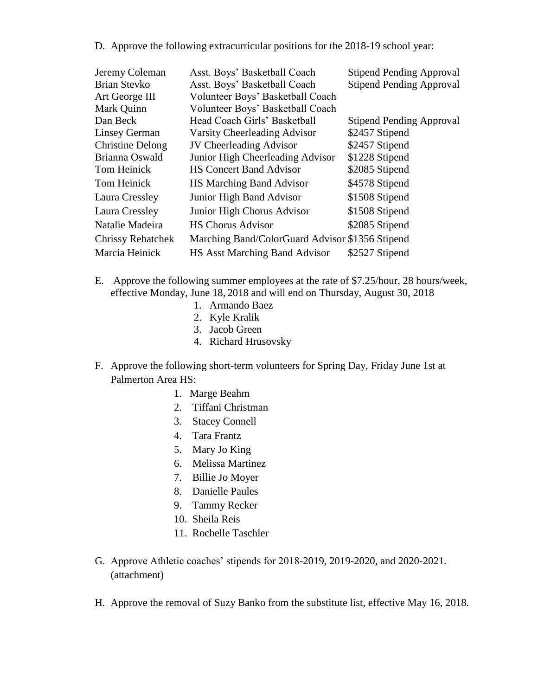D. Approve the following extracurricular positions for the 2018-19 school year:

| Jeremy Coleman           | Asst. Boys' Basketball Coach                    | <b>Stipend Pending Approval</b> |
|--------------------------|-------------------------------------------------|---------------------------------|
| <b>Brian Stevko</b>      | Asst. Boys' Basketball Coach                    | <b>Stipend Pending Approval</b> |
| Art George III           | Volunteer Boys' Basketball Coach                |                                 |
| Mark Quinn               | Volunteer Boys' Basketball Coach                |                                 |
| Dan Beck                 | Head Coach Girls' Basketball                    | <b>Stipend Pending Approval</b> |
| Linsey German            | Varsity Cheerleading Advisor                    | \$2457 Stipend                  |
| <b>Christine Delong</b>  | <b>JV</b> Cheerleading Advisor                  | \$2457 Stipend                  |
| Brianna Oswald           | Junior High Cheerleading Advisor                | \$1228 Stipend                  |
| Tom Heinick              | <b>HS Concert Band Advisor</b>                  | \$2085 Stipend                  |
| Tom Heinick              | <b>HS Marching Band Advisor</b>                 | \$4578 Stipend                  |
| Laura Cressley           | <b>Junior High Band Advisor</b>                 | \$1508 Stipend                  |
| Laura Cressley           | Junior High Chorus Advisor                      | \$1508 Stipend                  |
| Natalie Madeira          | <b>HS Chorus Advisor</b>                        | \$2085 Stipend                  |
| <b>Chrissy Rehatchek</b> | Marching Band/ColorGuard Advisor \$1356 Stipend |                                 |
| Marcia Heinick           | <b>HS Asst Marching Band Advisor</b>            | \$2527 Stipend                  |

- E. Approve the following summer employees at the rate of \$7.25/hour, 28 hours/week, effective Monday, June 18, 2018 and will end on Thursday, August 30, 2018
	- 1. Armando Baez
	- 2. Kyle Kralik
	- 3. Jacob Green
	- 4. Richard Hrusovsky
- F. Approve the following short-term volunteers for Spring Day, Friday June 1st at Palmerton Area HS:
	- 1. Marge Beahm
	- 2. Tiffani Christman
	- 3. Stacey Connell
	- 4. Tara Frantz
	- 5. Mary Jo King
	- 6. Melissa Martinez
	- 7. Billie Jo Moyer
	- 8. Danielle Paules
	- 9. Tammy Recker
	- 10. Sheila Reis
	- 11. Rochelle Taschler
- G. Approve Athletic coaches' stipends for 2018-2019, 2019-2020, and 2020-2021. (attachment)
- H. Approve the removal of Suzy Banko from the substitute list, effective May 16, 2018.